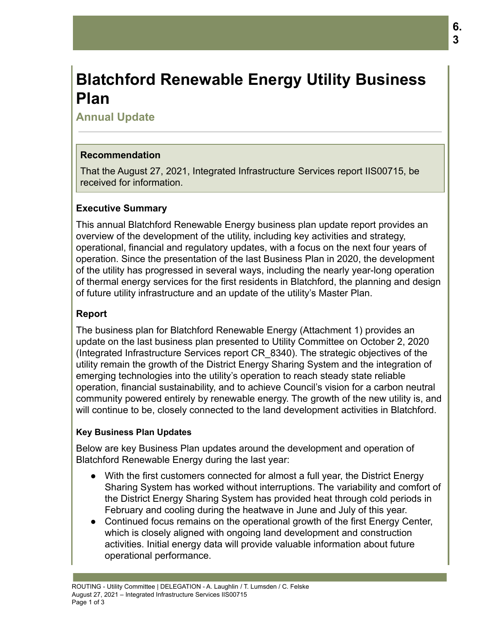# **Blatchford Renewable Energy Utility Business Plan**

## **Annual Update**

## **Recommendation**

That the August 27, 2021, Integrated Infrastructure Services report IIS00715, be received for information.

### **Executive Summary**

This annual Blatchford Renewable Energy business plan update report provides an overview of the development of the utility, including key activities and strategy, operational, financial and regulatory updates, with a focus on the next four years of operation. Since the presentation of the last Business Plan in 2020, the development of the utility has progressed in several ways, including the nearly year-long operation of thermal energy services for the first residents in Blatchford, the planning and design of future utility infrastructure and an update of the utility's Master Plan.

## **Report**

The business plan for Blatchford Renewable Energy (Attachment 1) provides an update on the last business plan presented to Utility Committee on October 2, 2020 (Integrated Infrastructure Services report CR\_8340). The strategic objectives of the utility remain the growth of the District Energy Sharing System and the integration of emerging technologies into the utility's operation to reach steady state reliable operation, financial sustainability, and to achieve Council's vision for a carbon neutral community powered entirely by renewable energy. The growth of the new utility is, and will continue to be, closely connected to the land development activities in Blatchford.

#### **Key Business Plan Updates**

Below are key Business Plan updates around the development and operation of Blatchford Renewable Energy during the last year:

- With the first customers connected for almost a full year, the District Energy Sharing System has worked without interruptions. The variability and comfort of the District Energy Sharing System has provided heat through cold periods in February and cooling during the heatwave in June and July of this year.
- Continued focus remains on the operational growth of the first Energy Center, which is closely aligned with ongoing land development and construction activities. Initial energy data will provide valuable information about future operational performance.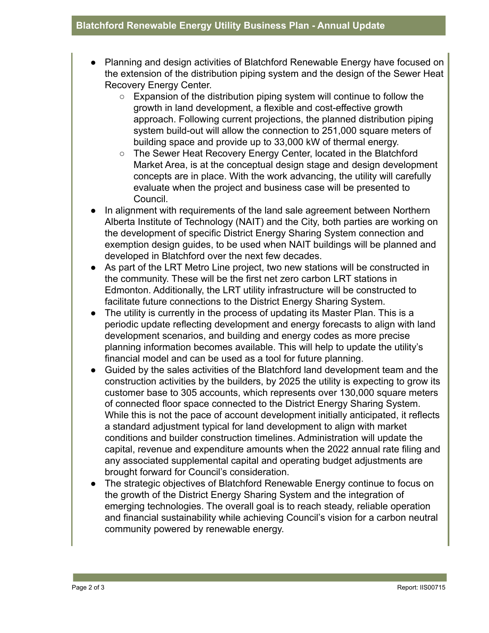- Planning and design activities of Blatchford Renewable Energy have focused on the extension of the distribution piping system and the design of the Sewer Heat Recovery Energy Center.
	- $\circ$  Expansion of the distribution piping system will continue to follow the growth in land development, a flexible and cost-effective growth approach. Following current projections, the planned distribution piping system build-out will allow the connection to 251,000 square meters of building space and provide up to 33,000 kW of thermal energy.
	- The Sewer Heat Recovery Energy Center, located in the Blatchford Market Area, is at the conceptual design stage and design development concepts are in place. With the work advancing, the utility will carefully evaluate when the project and business case will be presented to Council.
- In alignment with requirements of the land sale agreement between Northern Alberta Institute of Technology (NAIT) and the City, both parties are working on the development of specific District Energy Sharing System connection and exemption design guides, to be used when NAIT buildings will be planned and developed in Blatchford over the next few decades.
- As part of the LRT Metro Line project, two new stations will be constructed in the community. These will be the first net zero carbon LRT stations in Edmonton. Additionally, the LRT utility infrastructure will be constructed to facilitate future connections to the District Energy Sharing System.
- The utility is currently in the process of updating its Master Plan. This is a periodic update reflecting development and energy forecasts to align with land development scenarios, and building and energy codes as more precise planning information becomes available. This will help to update the utility's financial model and can be used as a tool for future planning.
- Guided by the sales activities of the Blatchford land development team and the construction activities by the builders, by 2025 the utility is expecting to grow its customer base to 305 accounts, which represents over 130,000 square meters of connected floor space connected to the District Energy Sharing System. While this is not the pace of account development initially anticipated, it reflects a standard adjustment typical for land development to align with market conditions and builder construction timelines. Administration will update the capital, revenue and expenditure amounts when the 2022 annual rate filing and any associated supplemental capital and operating budget adjustments are brought forward for Council's consideration.
- The strategic objectives of Blatchford Renewable Energy continue to focus on the growth of the District Energy Sharing System and the integration of emerging technologies. The overall goal is to reach steady, reliable operation and financial sustainability while achieving Council's vision for a carbon neutral community powered by renewable energy.